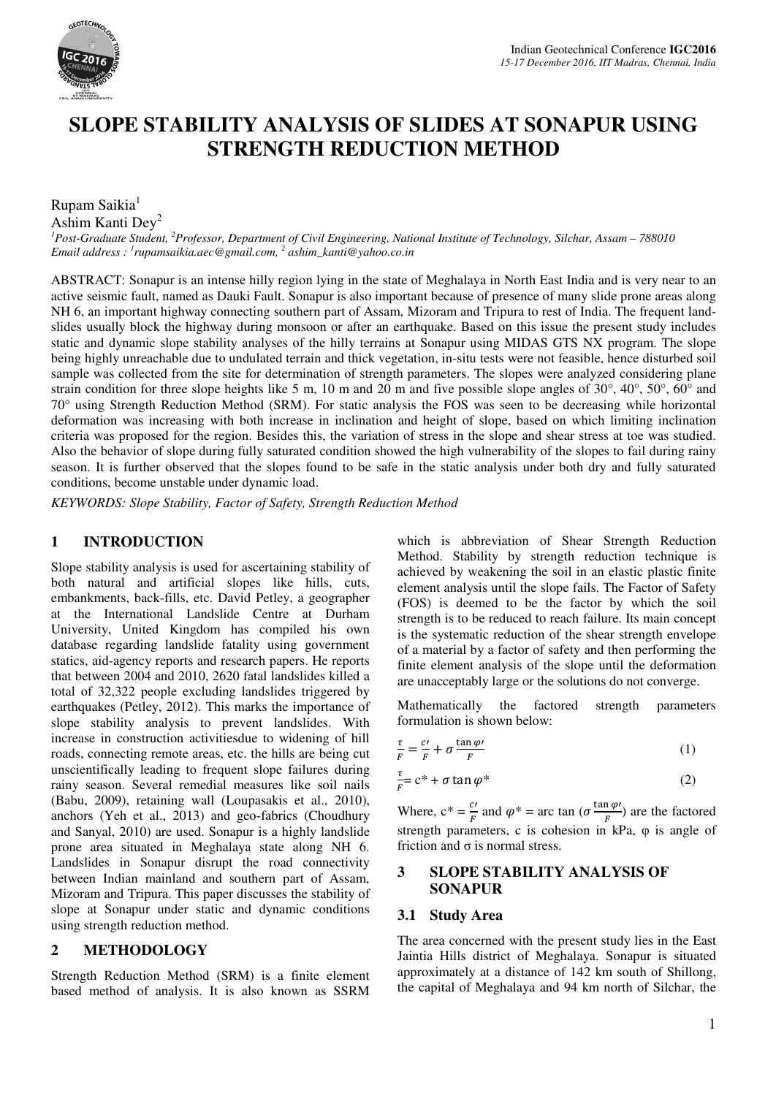

# **SLOPE STABILITY ANALYSIS OF SLIDES AT SONAPUR USING STRENGTH REDUCTION METHOD**

Rupam Saikia<sup>1</sup>

Ashim Kanti Dey<sup>2</sup>

*<sup>1</sup>Post-Graduate Student, <sup>2</sup>Professor, Department of Civil Engineering, National Institute of Technology, Silchar, Assam – 788010 Email address : <sup>1</sup> rupamsaikia.aec@gmail.com, <sup>2</sup> ashim\_kanti@yahoo.co.in* 

ABSTRACT: Sonapur is an intense hilly region lying in the state of Meghalaya in North East India and is very near to an active seismic fault, named as Dauki Fault. Sonapur is also important because of presence of many slide prone areas along NH 6, an important highway connecting southern part of Assam, Mizoram and Tripura to rest of India. The frequent landslides usually block the highway during monsoon or after an earthquake. Based on this issue the present study includes static and dynamic slope stability analyses of the hilly terrains at Sonapur using MIDAS GTS NX program. The slope being highly unreachable due to undulated terrain and thick vegetation, in-situ tests were not feasible, hence disturbed soil sample was collected from the site for determination of strength parameters. The slopes were analyzed considering plane strain condition for three slope heights like 5 m, 10 m and 20 m and five possible slope angles of 30°, 40°, 50°, 60° and 70° using Strength Reduction Method (SRM). For static analysis the FOS was seen to be decreasing while horizontal deformation was increasing with both increase in inclination and height of slope, based on which limiting inclination criteria was proposed for the region. Besides this, the variation of stress in the slope and shear stress at toe was studied. Also the behavior of slope during fully saturated condition showed the high vulnerability of the slopes to fail during rainy season. It is further observed that the slopes found to be safe in the static analysis under both dry and fully saturated conditions, become unstable under dynamic load.

*KEYWORDS: Slope Stability, Factor of Safety, Strength Reduction Method* 

#### **1 INTRODUCTION**

Slope stability analysis is used for ascertaining stability of both natural and artificial slopes like hills, cuts, embankments, back-fills, etc. David Petley, a geographer at the International Landslide Centre at Durham University, United Kingdom has compiled his own database regarding landslide fatality using government statics, aid-agency reports and research papers. He reports that between 2004 and 2010, 2620 fatal landslides killed a total of 32,322 people excluding landslides triggered by earthquakes (Petley, 2012). This marks the importance of slope stability analysis to prevent landslides. With increase in construction activitiesdue to widening of hill roads, connecting remote areas, etc. the hills are being cut unscientifically leading to frequent slope failures during rainy season. Several remedial measures like soil nails (Babu, 2009), retaining wall (Loupasakis et al., 2010), anchors (Yeh et al., 2013) and geo-fabrics (Choudhury and Sanyal, 2010) are used. Sonapur is a highly landslide prone area situated in Meghalaya state along NH 6. Landslides in Sonapur disrupt the road connectivity between Indian mainland and southern part of Assam, Mizoram and Tripura. This paper discusses the stability of slope at Sonapur under static and dynamic conditions using strength reduction method.

#### **2 METHODOLOGY**

Strength Reduction Method (SRM) is a finite element based method of analysis. It is also known as SSRM which is abbreviation of Shear Strength Reduction Method. Stability by strength reduction technique is achieved by weakening the soil in an elastic plastic finite element analysis until the slope fails. The Factor of Safety (FOS) is deemed to be the factor by which the soil strength is to be reduced to reach failure. Its main concept is the systematic reduction of the shear strength envelope of a material by a factor of safety and then performing the finite element analysis of the slope until the deformation are unacceptably large or the solutions do not converge.

Mathematically the factored strength parameters formulation is shown below:

$$
\frac{\tau}{F} = \frac{c}{F} + \sigma \frac{\tan \varphi}{F}
$$
\n(1)

$$
\frac{\tau}{F} = c^* + \sigma \tan \varphi^* \tag{2}
$$

Where,  $c^* = \frac{c'}{F}$  and  $\varphi^* = \arctan \left( \sigma \frac{\tan \varphi'}{F} \right)$  strength parameters, c is cohesion in kPa, φ is angle of  $\frac{\ln \varphi'}{F}$  are the factored friction and  $\sigma$  is normal stress.

#### **3 SLOPE STABILITY ANALYSIS OF SONAPUR**

#### **3.1 Study Area**

The area concerned with the present study lies in the East Jaintia Hills district of Meghalaya. Sonapur is situated approximately at a distance of 142 km south of Shillong, the capital of Meghalaya and 94 km north of Silchar, the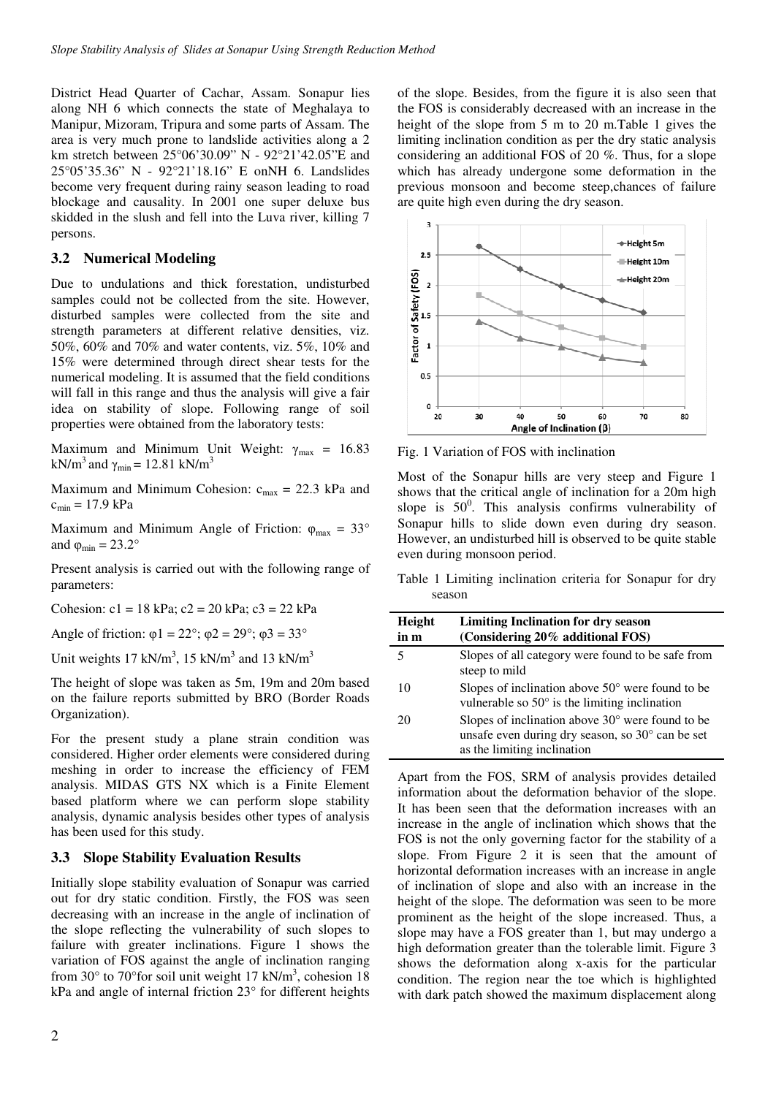District Head Quarter of Cachar, Assam. Sonapur lies along NH 6 which connects the state of Meghalaya to Manipur, Mizoram, Tripura and some parts of Assam. The area is very much prone to landslide activities along a 2 km stretch between 25°06'30.09" N - 92°21'42.05"E and 25°05'35.36" N - 92°21'18.16" E onNH 6. Landslides become very frequent during rainy season leading to road blockage and causality. In 2001 one super deluxe bus skidded in the slush and fell into the Luva river, killing 7 persons.

### **3.2 Numerical Modeling**

Due to undulations and thick forestation, undisturbed samples could not be collected from the site. However, disturbed samples were collected from the site and strength parameters at different relative densities, viz. 50%, 60% and 70% and water contents, viz. 5%, 10% and 15% were determined through direct shear tests for the numerical modeling. It is assumed that the field conditions will fall in this range and thus the analysis will give a fair idea on stability of slope. Following range of soil properties were obtained from the laboratory tests:

Maximum and Minimum Unit Weight:  $\gamma_{\text{max}} = 16.83$ kN/m<sup>3</sup> and  $\gamma_{\text{min}} = 12.81 \text{ kN/m}^3$ 

Maximum and Minimum Cohesion:  $c_{\text{max}} = 22.3 \text{ kPa}$  and  $c_{\min} = 17.9 \text{ kPa}$ 

Maximum and Minimum Angle of Friction:  $\varphi_{\text{max}} = 33^{\circ}$ and  $\varphi_{\text{min}} = 23.2^{\circ}$ 

Present analysis is carried out with the following range of parameters:

Cohesion:  $c1 = 18$  kPa;  $c2 = 20$  kPa;  $c3 = 22$  kPa

Angle of friction:  $\varphi$ 1 = 22°;  $\varphi$ 2 = 29°;  $\varphi$ 3 = 33°

Unit weights  $17 \text{ kN/m}^3$ ,  $15 \text{ kN/m}^3$  and  $13 \text{ kN/m}^3$ 

The height of slope was taken as 5m, 19m and 20m based on the failure reports submitted by BRO (Border Roads Organization).

For the present study a plane strain condition was considered. Higher order elements were considered during meshing in order to increase the efficiency of FEM analysis. MIDAS GTS NX which is a Finite Element based platform where we can perform slope stability analysis, dynamic analysis besides other types of analysis has been used for this study.

## **3.3 Slope Stability Evaluation Results**

Initially slope stability evaluation of Sonapur was carried out for dry static condition. Firstly, the FOS was seen decreasing with an increase in the angle of inclination of the slope reflecting the vulnerability of such slopes to failure with greater inclinations. Figure 1 shows the variation of FOS against the angle of inclination ranging from  $30^{\circ}$  to  $70^{\circ}$  for soil unit weight 17 kN/m<sup>3</sup>, cohesion 18 kPa and angle of internal friction 23° for different heights

of the slope. Besides, from the figure it is also seen that the FOS is considerably decreased with an increase in the height of the slope from 5 m to 20 m.Table 1 gives the limiting inclination condition as per the dry static analysis considering an additional FOS of 20 %. Thus, for a slope which has already undergone some deformation in the previous monsoon and become steep,chances of failure are quite high even during the dry season.



Fig. 1 Variation of FOS with inclination

Most of the Sonapur hills are very steep and Figure 1 shows that the critical angle of inclination for a 20m high slope is  $50^\circ$ . This analysis confirms vulnerability of Sonapur hills to slide down even during dry season. However, an undisturbed hill is observed to be quite stable even during monsoon period.

Table 1 Limiting inclination criteria for Sonapur for dry season

| Height<br>in m | <b>Limiting Inclination for dry season</b><br>(Considering 20% additional FOS)                                                               |  |  |
|----------------|----------------------------------------------------------------------------------------------------------------------------------------------|--|--|
| 5              | Slopes of all category were found to be safe from<br>steep to mild                                                                           |  |  |
| 10             | Slopes of inclination above $50^{\circ}$ were found to be<br>vulnerable so $50^{\circ}$ is the limiting inclination                          |  |  |
| 20             | Slopes of inclination above $30^{\circ}$ were found to be<br>unsafe even during dry season, so 30° can be set<br>as the limiting inclination |  |  |

Apart from the FOS, SRM of analysis provides detailed information about the deformation behavior of the slope. It has been seen that the deformation increases with an increase in the angle of inclination which shows that the FOS is not the only governing factor for the stability of a slope. From Figure 2 it is seen that the amount of horizontal deformation increases with an increase in angle of inclination of slope and also with an increase in the height of the slope. The deformation was seen to be more prominent as the height of the slope increased. Thus, a slope may have a FOS greater than 1, but may undergo a high deformation greater than the tolerable limit. Figure 3 shows the deformation along x-axis for the particular condition. The region near the toe which is highlighted with dark patch showed the maximum displacement along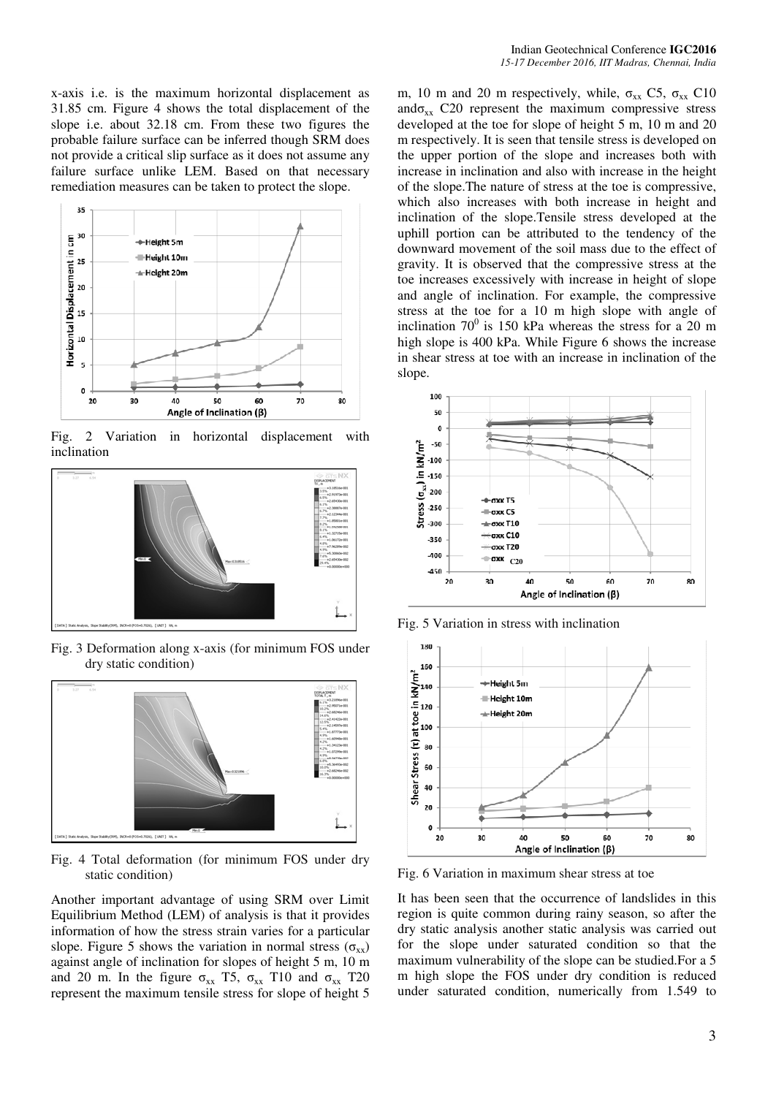x-axis i.e. is the maximum horizontal displacement as 31.85 cm. Figure 4 shows the total displacement of the slope i.e. about 32.18 cm. From these two figures the probable failure surface can be inferred though SRM does not provide a critical slip surface as it does not assume any failure surface unlike LEM. Based on that necessary remediation measures can be taken to protect the slope.



Fig. 2 Variation in horizontal displacement with inclination



Fig. 3 Deformation along x-axis (for minimum FOS under dry static condition)



Fig. 4 Total deformation (for minimum FOS under dry static condition)

Another important advantage of using SRM over Limit Equilibrium Method (LEM) of analysis is that it provides information of how the stress strain varies for a particular slope. Figure 5 shows the variation in normal stress ( $\sigma_{xx}$ ) against angle of inclination for slopes of height 5 m, 10 m and 20 m. In the figure  $\sigma_{xx}$  T5,  $\sigma_{xx}$  T10 and  $\sigma_{xx}$  T20 represent the maximum tensile stress for slope of height 5

m, 10 m and 20 m respectively, while,  $\sigma_{xx}$  C5,  $\sigma_{xx}$  C10 and $\sigma_{xx}$  C20 represent the maximum compressive stress developed at the toe for slope of height 5 m, 10 m and 20 m respectively. It is seen that tensile stress is developed on the upper portion of the slope and increases both with increase in inclination and also with increase in the height of the slope.The nature of stress at the toe is compressive, which also increases with both increase in height and inclination of the slope.Tensile stress developed at the uphill portion can be attributed to the tendency of the downward movement of the soil mass due to the effect of gravity. It is observed that the compressive stress at the toe increases excessively with increase in height of slope and angle of inclination. For example, the compressive stress at the toe for a 10 m high slope with angle of inclination  $70^0$  is 150 kPa whereas the stress for a 20 m high slope is 400 kPa. While Figure 6 shows the increase in shear stress at toe with an increase in inclination of the slope.



Fig. 5 Variation in stress with inclination



Fig. 6 Variation in maximum shear stress at toe

It has been seen that the occurrence of landslides in this region is quite common during rainy season, so after the dry static analysis another static analysis was carried out for the slope under saturated condition so that the maximum vulnerability of the slope can be studied.For a 5 m high slope the FOS under dry condition is reduced under saturated condition, numerically from 1.549 to